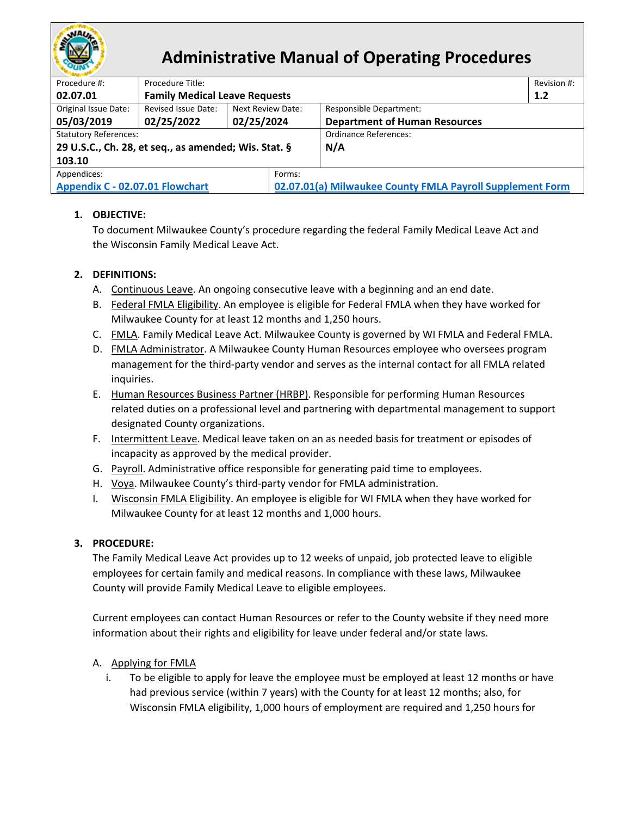

# **Administrative Manual of Operating Procedures**

| Revision #:                                               |  |  |  |  |  |
|-----------------------------------------------------------|--|--|--|--|--|
| 1.2                                                       |  |  |  |  |  |
|                                                           |  |  |  |  |  |
| <b>Department of Human Resources</b>                      |  |  |  |  |  |
| Ordinance References:                                     |  |  |  |  |  |
|                                                           |  |  |  |  |  |
|                                                           |  |  |  |  |  |
|                                                           |  |  |  |  |  |
| 02.07.01(a) Milwaukee County FMLA Payroll Supplement Form |  |  |  |  |  |
|                                                           |  |  |  |  |  |

# **1. OBJECTIVE:**

To document Milwaukee County's procedure regarding the federal Family Medical Leave Act and the Wisconsin Family Medical Leave Act.

# **2. DEFINITIONS:**

- A. Continuous Leave. An ongoing consecutive leave with a beginning and an end date.
- B. Federal FMLA Eligibility. An employee is eligible for Federal FMLA when they have worked for Milwaukee County for at least 12 months and 1,250 hours.
- C. FMLA. Family Medical Leave Act. Milwaukee County is governed by WI FMLA and Federal FMLA.
- D. FMLA Administrator. A Milwaukee County Human Resources employee who oversees program management for the third-party vendor and serves as the internal contact for all FMLA related inquiries.
- E. Human Resources Business Partner (HRBP). Responsible for performing Human Resources related duties on a professional level and partnering with departmental management to support designated County organizations.
- F. Intermittent Leave. Medical leave taken on an as needed basis for treatment or episodes of incapacity as approved by the medical provider.
- G. Payroll. Administrative office responsible for generating paid time to employees.
- H. Voya. Milwaukee County's third-party vendor for FMLA administration.
- I. Wisconsin FMLA Eligibility. An employee is eligible for WI FMLA when they have worked for Milwaukee County for at least 12 months and 1,000 hours.

# **3. PROCEDURE:**

The Family Medical Leave Act provides up to 12 weeks of unpaid, job protected leave to eligible employees for certain family and medical reasons. In compliance with these laws, Milwaukee County will provide Family Medical Leave to eligible employees.

Current employees can contact Human Resources or refer to the County website if they need more information about their rights and eligibility for leave under federal and/or state laws.

# A. Applying for FMLA

i. To be eligible to apply for leave the employee must be employed at least 12 months or have had previous service (within 7 years) with the County for at least 12 months; also, for Wisconsin FMLA eligibility, 1,000 hours of employment are required and 1,250 hours for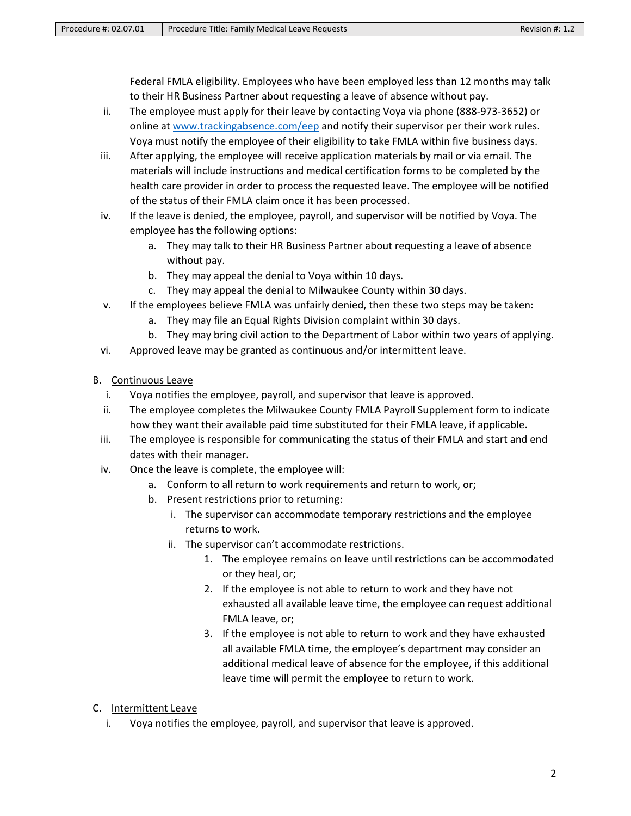Federal FMLA eligibility. Employees who have been employed less than 12 months may talk to their HR Business Partner about requesting a leave of absence without pay.

- ii. The employee must apply for their leave by contacting Voya via phone (888-973-3652) or online at [www.trackingabsence.com/eep](http://www.trackingabsence.com/eep) and notify their supervisor per their work rules. Voya must notify the employee of their eligibility to take FMLA within five business days.
- iii. After applying, the employee will receive application materials by mail or via email. The materials will include instructions and medical certification forms to be completed by the health care provider in order to process the requested leave. The employee will be notified of the status of their FMLA claim once it has been processed.
- iv. If the leave is denied, the employee, payroll, and supervisor will be notified by Voya. The employee has the following options:
	- a. They may talk to their HR Business Partner about requesting a leave of absence without pay.
	- b. They may appeal the denial to Voya within 10 days.
	- c. They may appeal the denial to Milwaukee County within 30 days.
- v. If the employees believe FMLA was unfairly denied, then these two steps may be taken:
	- a. They may file an Equal Rights Division complaint within 30 days.
	- b. They may bring civil action to the Department of Labor within two years of applying.
- vi. Approved leave may be granted as continuous and/or intermittent leave.
- B. Continuous Leave
	- i. Voya notifies the employee, payroll, and supervisor that leave is approved.
	- ii. The employee completes the Milwaukee County FMLA Payroll Supplement form to indicate how they want their available paid time substituted for their FMLA leave, if applicable.
	- iii. The employee is responsible for communicating the status of their FMLA and start and end dates with their manager.
	- iv. Once the leave is complete, the employee will:
		- a. Conform to all return to work requirements and return to work, or;
		- b. Present restrictions prior to returning:
			- i. The supervisor can accommodate temporary restrictions and the employee returns to work.
			- ii. The supervisor can't accommodate restrictions.
				- 1. The employee remains on leave until restrictions can be accommodated or they heal, or;
				- 2. If the employee is not able to return to work and they have not exhausted all available leave time, the employee can request additional FMLA leave, or;
				- 3. If the employee is not able to return to work and they have exhausted all available FMLA time, the employee's department may consider an additional medical leave of absence for the employee, if this additional leave time will permit the employee to return to work.
- C. Intermittent Leave
	- i. Voya notifies the employee, payroll, and supervisor that leave is approved.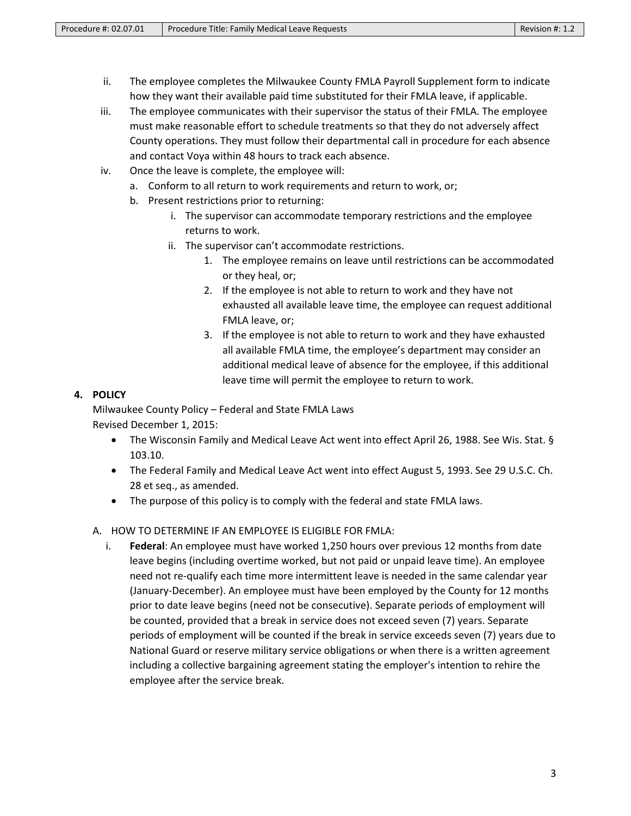- ii. The employee completes the Milwaukee County FMLA Payroll Supplement form to indicate how they want their available paid time substituted for their FMLA leave, if applicable.
- iii. The employee communicates with their supervisor the status of their FMLA. The employee must make reasonable effort to schedule treatments so that they do not adversely affect County operations. They must follow their departmental call in procedure for each absence and contact Voya within 48 hours to track each absence.
- iv. Once the leave is complete, the employee will:
	- a. Conform to all return to work requirements and return to work, or;
	- b. Present restrictions prior to returning:
		- i. The supervisor can accommodate temporary restrictions and the employee returns to work.
		- ii. The supervisor can't accommodate restrictions.
			- 1. The employee remains on leave until restrictions can be accommodated or they heal, or;
			- 2. If the employee is not able to return to work and they have not exhausted all available leave time, the employee can request additional FMLA leave, or;
			- 3. If the employee is not able to return to work and they have exhausted all available FMLA time, the employee's department may consider an additional medical leave of absence for the employee, if this additional leave time will permit the employee to return to work.

# **4. POLICY**

Milwaukee County Policy – Federal and State FMLA Laws Revised December 1, 2015:

- The Wisconsin Family and Medical Leave Act went into effect April 26, 1988. See Wis. Stat. § 103.10.
- The Federal Family and Medical Leave Act went into effect August 5, 1993. See 29 U.S.C. Ch. 28 et seq., as amended.
- The purpose of this policy is to comply with the federal and state FMLA laws.
- A. HOW TO DETERMINE IF AN EMPLOYEE IS ELIGIBLE FOR FMLA:
	- i. **Federal**: An employee must have worked 1,250 hours over previous 12 months from date leave begins (including overtime worked, but not paid or unpaid leave time). An employee need not re-qualify each time more intermittent leave is needed in the same calendar year (January-December). An employee must have been employed by the County for 12 months prior to date leave begins (need not be consecutive). Separate periods of employment will be counted, provided that a break in service does not exceed seven (7) years. Separate periods of employment will be counted if the break in service exceeds seven (7) years due to National Guard or reserve military service obligations or when there is a written agreement including a collective bargaining agreement stating the employer's intention to rehire the employee after the service break.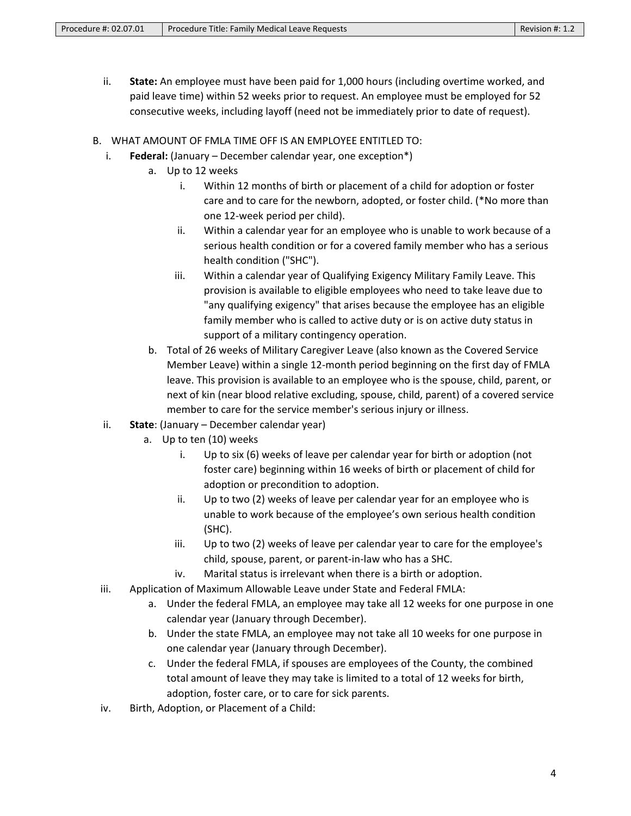- ii. **State:** An employee must have been paid for 1,000 hours (including overtime worked, and paid leave time) within 52 weeks prior to request. An employee must be employed for 52 consecutive weeks, including layoff (need not be immediately prior to date of request).
- B. WHAT AMOUNT OF FMLA TIME OFF IS AN EMPLOYEE ENTITLED TO:
	- i. **Federal:** (January December calendar year, one exception\*)
		- a. Up to 12 weeks
			- i. Within 12 months of birth or placement of a child for adoption or foster care and to care for the newborn, adopted, or foster child. (\*No more than one 12-week period per child).
			- ii. Within a calendar year for an employee who is unable to work because of a serious health condition or for a covered family member who has a serious health condition ("SHC").
			- iii. Within a calendar year of Qualifying Exigency Military Family Leave. This provision is available to eligible employees who need to take leave due to "any qualifying exigency" that arises because the employee has an eligible family member who is called to active duty or is on active duty status in support of a military contingency operation.
		- b. Total of 26 weeks of Military Caregiver Leave (also known as the Covered Service Member Leave) within a single 12-month period beginning on the first day of FMLA leave. This provision is available to an employee who is the spouse, child, parent, or next of kin (near blood relative excluding, spouse, child, parent) of a covered service member to care for the service member's serious injury or illness.
	- ii. **State**: (January December calendar year)
		- a. Up to ten (10) weeks
			- i. Up to six (6) weeks of leave per calendar year for birth or adoption (not foster care) beginning within 16 weeks of birth or placement of child for adoption or precondition to adoption.
			- ii. Up to two (2) weeks of leave per calendar year for an employee who is unable to work because of the employee's own serious health condition (SHC).
			- iii. Up to two (2) weeks of leave per calendar year to care for the employee's child, spouse, parent, or parent-in-law who has a SHC.
			- iv. Marital status is irrelevant when there is a birth or adoption.
	- iii. Application of Maximum Allowable Leave under State and Federal FMLA:
		- a. Under the federal FMLA, an employee may take all 12 weeks for one purpose in one calendar year (January through December).
		- b. Under the state FMLA, an employee may not take all 10 weeks for one purpose in one calendar year (January through December).
		- c. Under the federal FMLA, if spouses are employees of the County, the combined total amount of leave they may take is limited to a total of 12 weeks for birth, adoption, foster care, or to care for sick parents.
	- iv. Birth, Adoption, or Placement of a Child: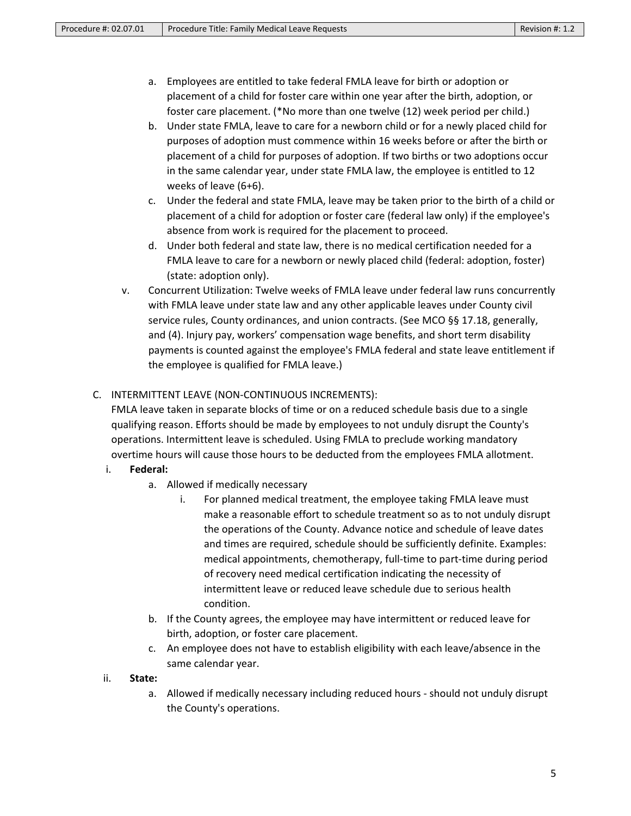- a. Employees are entitled to take federal FMLA leave for birth or adoption or placement of a child for foster care within one year after the birth, adoption, or foster care placement. (\*No more than one twelve (12) week period per child.)
- b. Under state FMLA, leave to care for a newborn child or for a newly placed child for purposes of adoption must commence within 16 weeks before or after the birth or placement of a child for purposes of adoption. If two births or two adoptions occur in the same calendar year, under state FMLA law, the employee is entitled to 12 weeks of leave (6+6).
- c. Under the federal and state FMLA, leave may be taken prior to the birth of a child or placement of a child for adoption or foster care (federal law only) if the employee's absence from work is required for the placement to proceed.
- d. Under both federal and state law, there is no medical certification needed for a FMLA leave to care for a newborn or newly placed child (federal: adoption, foster) (state: adoption only).
- v. Concurrent Utilization: Twelve weeks of FMLA leave under federal law runs concurrently with FMLA leave under state law and any other applicable leaves under County civil service rules, County ordinances, and union contracts. (See MCO §§ 17.18, generally, and (4). Injury pay, workers' compensation wage benefits, and short term disability payments is counted against the employee's FMLA federal and state leave entitlement if the employee is qualified for FMLA leave.)
- C. INTERMITTENT LEAVE (NON-CONTINUOUS INCREMENTS):

FMLA leave taken in separate blocks of time or on a reduced schedule basis due to a single qualifying reason. Efforts should be made by employees to not unduly disrupt the County's operations. Intermittent leave is scheduled. Using FMLA to preclude working mandatory overtime hours will cause those hours to be deducted from the employees FMLA allotment.

- i. **Federal:** 
	- a. Allowed if medically necessary
		- i. For planned medical treatment, the employee taking FMLA leave must make a reasonable effort to schedule treatment so as to not unduly disrupt the operations of the County. Advance notice and schedule of leave dates and times are required, schedule should be sufficiently definite. Examples: medical appointments, chemotherapy, full-time to part-time during period of recovery need medical certification indicating the necessity of intermittent leave or reduced leave schedule due to serious health condition.
	- b. If the County agrees, the employee may have intermittent or reduced leave for birth, adoption, or foster care placement.
	- c. An employee does not have to establish eligibility with each leave/absence in the same calendar year.
- ii. **State:**
	- a. Allowed if medically necessary including reduced hours should not unduly disrupt the County's operations.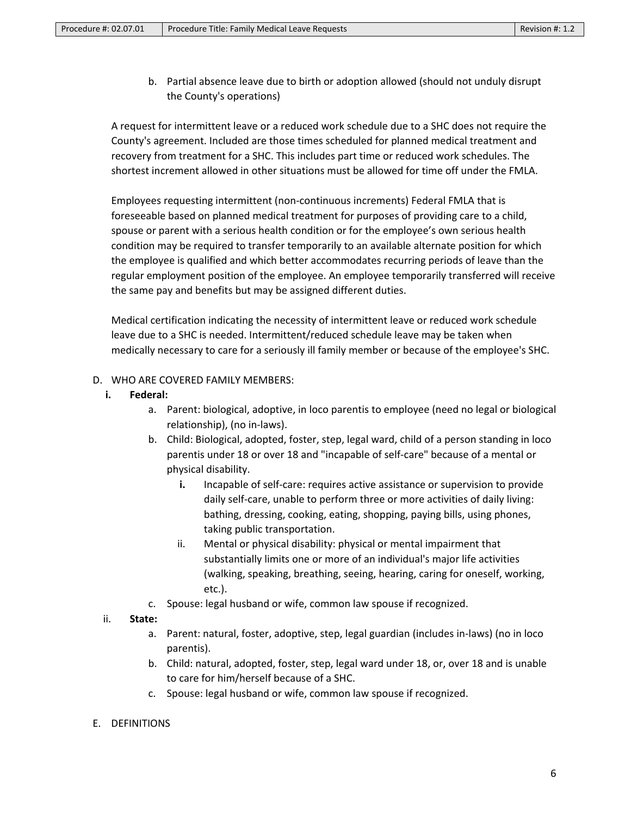b. Partial absence leave due to birth or adoption allowed (should not unduly disrupt the County's operations)

A request for intermittent leave or a reduced work schedule due to a SHC does not require the County's agreement. Included are those times scheduled for planned medical treatment and recovery from treatment for a SHC. This includes part time or reduced work schedules. The shortest increment allowed in other situations must be allowed for time off under the FMLA.

Employees requesting intermittent (non-continuous increments) Federal FMLA that is foreseeable based on planned medical treatment for purposes of providing care to a child, spouse or parent with a serious health condition or for the employee's own serious health condition may be required to transfer temporarily to an available alternate position for which the employee is qualified and which better accommodates recurring periods of leave than the regular employment position of the employee. An employee temporarily transferred will receive the same pay and benefits but may be assigned different duties.

Medical certification indicating the necessity of intermittent leave or reduced work schedule leave due to a SHC is needed. Intermittent/reduced schedule leave may be taken when medically necessary to care for a seriously ill family member or because of the employee's SHC.

## D. WHO ARE COVERED FAMILY MEMBERS:

- **i. Federal:** 
	- a. Parent: biological, adoptive, in loco parentis to employee (need no legal or biological relationship), (no in-laws).
	- b. Child: Biological, adopted, foster, step, legal ward, child of a person standing in loco parentis under 18 or over 18 and "incapable of self-care" because of a mental or physical disability.
		- **i.** Incapable of self-care: requires active assistance or supervision to provide daily self-care, unable to perform three or more activities of daily living: bathing, dressing, cooking, eating, shopping, paying bills, using phones, taking public transportation.
		- ii. Mental or physical disability: physical or mental impairment that substantially limits one or more of an individual's major life activities (walking, speaking, breathing, seeing, hearing, caring for oneself, working, etc.).
	- c. Spouse: legal husband or wife, common law spouse if recognized.

## ii. **State:**

- a. Parent: natural, foster, adoptive, step, legal guardian (includes in-laws) (no in loco parentis).
- b. Child: natural, adopted, foster, step, legal ward under 18, or, over 18 and is unable to care for him/herself because of a SHC.
- c. Spouse: legal husband or wife, common law spouse if recognized.
- E. DEFINITIONS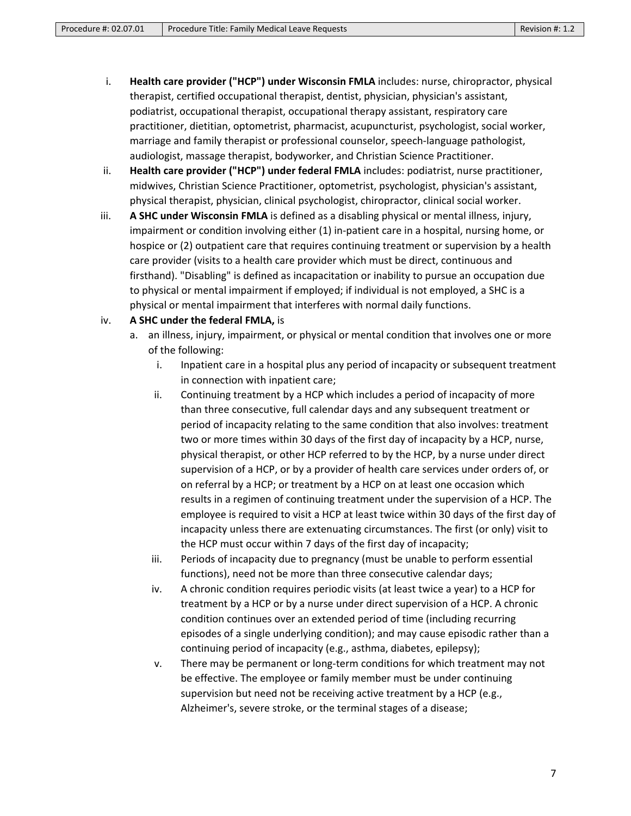- i. **Health care provider ("HCP") under Wisconsin FMLA** includes: nurse, chiropractor, physical therapist, certified occupational therapist, dentist, physician, physician's assistant, podiatrist, occupational therapist, occupational therapy assistant, respiratory care practitioner, dietitian, optometrist, pharmacist, acupuncturist, psychologist, social worker, marriage and family therapist or professional counselor, speech-language pathologist, audiologist, massage therapist, bodyworker, and Christian Science Practitioner.
- ii. **Health care provider ("HCP") under federal FMLA** includes: podiatrist, nurse practitioner, midwives, Christian Science Practitioner, optometrist, psychologist, physician's assistant, physical therapist, physician, clinical psychologist, chiropractor, clinical social worker.
- iii. **A SHC under Wisconsin FMLA** is defined as a disabling physical or mental illness, injury, impairment or condition involving either (1) in-patient care in a hospital, nursing home, or hospice or (2) outpatient care that requires continuing treatment or supervision by a health care provider (visits to a health care provider which must be direct, continuous and firsthand). "Disabling" is defined as incapacitation or inability to pursue an occupation due to physical or mental impairment if employed; if individual is not employed, a SHC is a physical or mental impairment that interferes with normal daily functions.

# iv. **A SHC under the federal FMLA,** is

- a. an illness, injury, impairment, or physical or mental condition that involves one or more of the following:
	- i. Inpatient care in a hospital plus any period of incapacity or subsequent treatment in connection with inpatient care;
	- ii. Continuing treatment by a HCP which includes a period of incapacity of more than three consecutive, full calendar days and any subsequent treatment or period of incapacity relating to the same condition that also involves: treatment two or more times within 30 days of the first day of incapacity by a HCP, nurse, physical therapist, or other HCP referred to by the HCP, by a nurse under direct supervision of a HCP, or by a provider of health care services under orders of, or on referral by a HCP; or treatment by a HCP on at least one occasion which results in a regimen of continuing treatment under the supervision of a HCP. The employee is required to visit a HCP at least twice within 30 days of the first day of incapacity unless there are extenuating circumstances. The first (or only) visit to the HCP must occur within 7 days of the first day of incapacity;
	- iii. Periods of incapacity due to pregnancy (must be unable to perform essential functions), need not be more than three consecutive calendar days;
	- iv. A chronic condition requires periodic visits (at least twice a year) to a HCP for treatment by a HCP or by a nurse under direct supervision of a HCP. A chronic condition continues over an extended period of time (including recurring episodes of a single underlying condition); and may cause episodic rather than a continuing period of incapacity (e.g., asthma, diabetes, epilepsy);
	- v. There may be permanent or long-term conditions for which treatment may not be effective. The employee or family member must be under continuing supervision but need not be receiving active treatment by a HCP (e.g., Alzheimer's, severe stroke, or the terminal stages of a disease;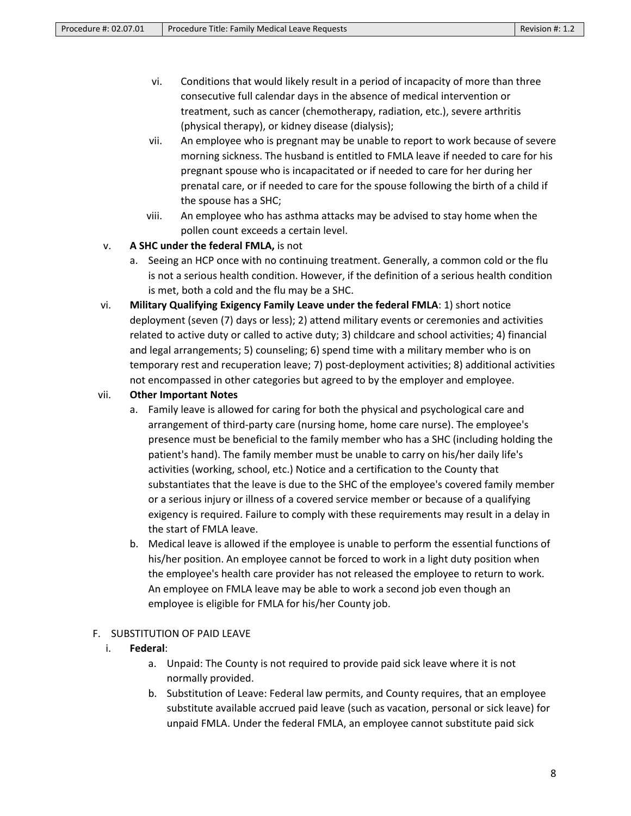- vi. Conditions that would likely result in a period of incapacity of more than three consecutive full calendar days in the absence of medical intervention or treatment, such as cancer (chemotherapy, radiation, etc.), severe arthritis (physical therapy), or kidney disease (dialysis);
- vii. An employee who is pregnant may be unable to report to work because of severe morning sickness. The husband is entitled to FMLA leave if needed to care for his pregnant spouse who is incapacitated or if needed to care for her during her prenatal care, or if needed to care for the spouse following the birth of a child if the spouse has a SHC;
- viii. An employee who has asthma attacks may be advised to stay home when the pollen count exceeds a certain level.

# v. **A SHC under the federal FMLA,** is not

- a. Seeing an HCP once with no continuing treatment. Generally, a common cold or the flu is not a serious health condition. However, if the definition of a serious health condition is met, both a cold and the flu may be a SHC.
- vi. **Military Qualifying Exigency Family Leave under the federal FMLA**: 1) short notice deployment (seven (7) days or less); 2) attend military events or ceremonies and activities related to active duty or called to active duty; 3) childcare and school activities; 4) financial and legal arrangements; 5) counseling; 6) spend time with a military member who is on temporary rest and recuperation leave; 7) post-deployment activities; 8) additional activities not encompassed in other categories but agreed to by the employer and employee.

# vii. **Other Important Notes**

- a. Family leave is allowed for caring for both the physical and psychological care and arrangement of third-party care (nursing home, home care nurse). The employee's presence must be beneficial to the family member who has a SHC (including holding the patient's hand). The family member must be unable to carry on his/her daily life's activities (working, school, etc.) Notice and a certification to the County that substantiates that the leave is due to the SHC of the employee's covered family member or a serious injury or illness of a covered service member or because of a qualifying exigency is required. Failure to comply with these requirements may result in a delay in the start of FMLA leave.
- b. Medical leave is allowed if the employee is unable to perform the essential functions of his/her position. An employee cannot be forced to work in a light duty position when the employee's health care provider has not released the employee to return to work. An employee on FMLA leave may be able to work a second job even though an employee is eligible for FMLA for his/her County job.

## F. SUBSTITUTION OF PAID LEAVE

# i. **Federal**:

- a. Unpaid: The County is not required to provide paid sick leave where it is not normally provided.
- b. Substitution of Leave: Federal law permits, and County requires, that an employee substitute available accrued paid leave (such as vacation, personal or sick leave) for unpaid FMLA. Under the federal FMLA, an employee cannot substitute paid sick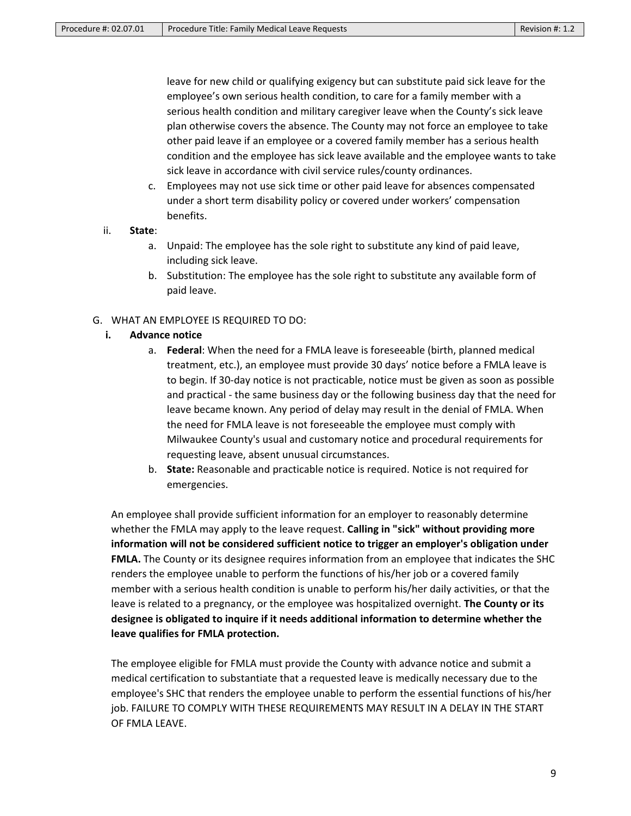leave for new child or qualifying exigency but can substitute paid sick leave for the employee's own serious health condition, to care for a family member with a serious health condition and military caregiver leave when the County's sick leave plan otherwise covers the absence. The County may not force an employee to take other paid leave if an employee or a covered family member has a serious health condition and the employee has sick leave available and the employee wants to take sick leave in accordance with civil service rules/county ordinances.

c. Employees may not use sick time or other paid leave for absences compensated under a short term disability policy or covered under workers' compensation benefits.

#### ii. **State**:

- a. Unpaid: The employee has the sole right to substitute any kind of paid leave, including sick leave.
- b. Substitution: The employee has the sole right to substitute any available form of paid leave.

## G. WHAT AN EMPLOYEE IS REQUIRED TO DO:

## **i. Advance notice**

- a. **Federal**: When the need for a FMLA leave is foreseeable (birth, planned medical treatment, etc.), an employee must provide 30 days' notice before a FMLA leave is to begin. If 30-day notice is not practicable, notice must be given as soon as possible and practical - the same business day or the following business day that the need for leave became known. Any period of delay may result in the denial of FMLA. When the need for FMLA leave is not foreseeable the employee must comply with Milwaukee County's usual and customary notice and procedural requirements for requesting leave, absent unusual circumstances.
- b. **State:** Reasonable and practicable notice is required. Notice is not required for emergencies.

An employee shall provide sufficient information for an employer to reasonably determine whether the FMLA may apply to the leave request. **Calling in "sick" without providing more information will not be considered sufficient notice to trigger an employer's obligation under FMLA.** The County or its designee requires information from an employee that indicates the SHC renders the employee unable to perform the functions of his/her job or a covered family member with a serious health condition is unable to perform his/her daily activities, or that the leave is related to a pregnancy, or the employee was hospitalized overnight. **The County or its designee is obligated to inquire if it needs additional information to determine whether the leave qualifies for FMLA protection.**

The employee eligible for FMLA must provide the County with advance notice and submit a medical certification to substantiate that a requested leave is medically necessary due to the employee's SHC that renders the employee unable to perform the essential functions of his/her job. FAILURE TO COMPLY WITH THESE REQUIREMENTS MAY RESULT IN A DELAY IN THE START OF FMLA LEAVE.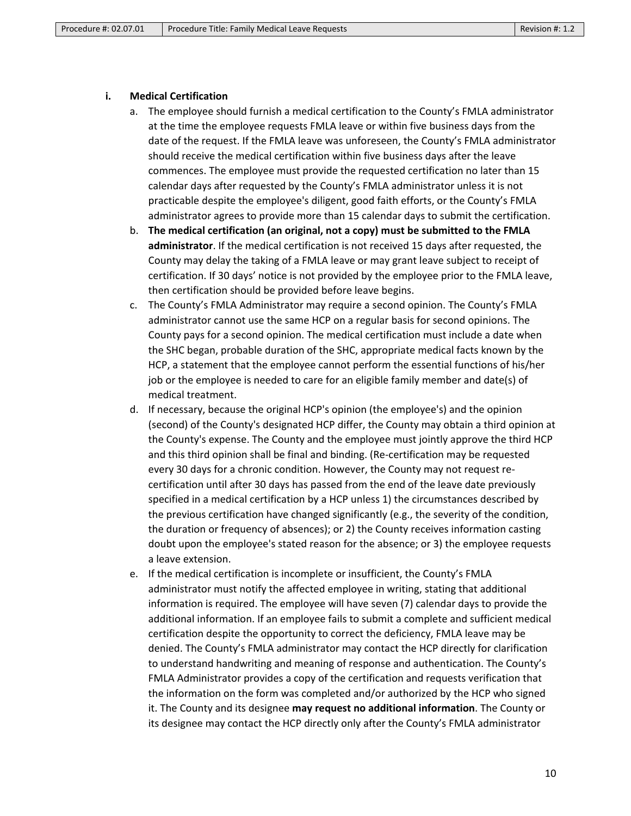#### **i. Medical Certification**

- a. The employee should furnish a medical certification to the County's FMLA administrator at the time the employee requests FMLA leave or within five business days from the date of the request. If the FMLA leave was unforeseen, the County's FMLA administrator should receive the medical certification within five business days after the leave commences. The employee must provide the requested certification no later than 15 calendar days after requested by the County's FMLA administrator unless it is not practicable despite the employee's diligent, good faith efforts, or the County's FMLA administrator agrees to provide more than 15 calendar days to submit the certification.
- b. **The medical certification (an original, not a copy) must be submitted to the FMLA administrator**. If the medical certification is not received 15 days after requested, the County may delay the taking of a FMLA leave or may grant leave subject to receipt of certification. If 30 days' notice is not provided by the employee prior to the FMLA leave, then certification should be provided before leave begins.
- c. The County's FMLA Administrator may require a second opinion. The County's FMLA administrator cannot use the same HCP on a regular basis for second opinions. The County pays for a second opinion. The medical certification must include a date when the SHC began, probable duration of the SHC, appropriate medical facts known by the HCP, a statement that the employee cannot perform the essential functions of his/her job or the employee is needed to care for an eligible family member and date(s) of medical treatment.
- d. If necessary, because the original HCP's opinion (the employee's) and the opinion (second) of the County's designated HCP differ, the County may obtain a third opinion at the County's expense. The County and the employee must jointly approve the third HCP and this third opinion shall be final and binding. (Re-certification may be requested every 30 days for a chronic condition. However, the County may not request recertification until after 30 days has passed from the end of the leave date previously specified in a medical certification by a HCP unless 1) the circumstances described by the previous certification have changed significantly (e.g., the severity of the condition, the duration or frequency of absences); or 2) the County receives information casting doubt upon the employee's stated reason for the absence; or 3) the employee requests a leave extension.
- e. If the medical certification is incomplete or insufficient, the County's FMLA administrator must notify the affected employee in writing, stating that additional information is required. The employee will have seven (7) calendar days to provide the additional information. If an employee fails to submit a complete and sufficient medical certification despite the opportunity to correct the deficiency, FMLA leave may be denied. The County's FMLA administrator may contact the HCP directly for clarification to understand handwriting and meaning of response and authentication. The County's FMLA Administrator provides a copy of the certification and requests verification that the information on the form was completed and/or authorized by the HCP who signed it. The County and its designee **may request no additional information**. The County or its designee may contact the HCP directly only after the County's FMLA administrator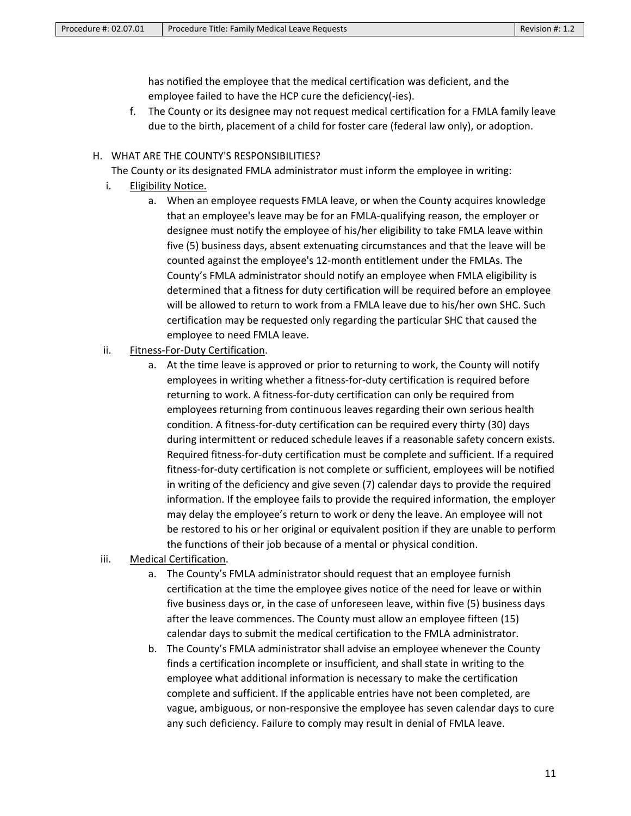has notified the employee that the medical certification was deficient, and the employee failed to have the HCP cure the deficiency(-ies).

f. The County or its designee may not request medical certification for a FMLA family leave due to the birth, placement of a child for foster care (federal law only), or adoption.

#### H. WHAT ARE THE COUNTY'S RESPONSIBILITIES?

The County or its designated FMLA administrator must inform the employee in writing:

- i. Eligibility Notice.
	- a. When an employee requests FMLA leave, or when the County acquires knowledge that an employee's leave may be for an FMLA-qualifying reason, the employer or designee must notify the employee of his/her eligibility to take FMLA leave within five (5) business days, absent extenuating circumstances and that the leave will be counted against the employee's 12-month entitlement under the FMLAs. The County's FMLA administrator should notify an employee when FMLA eligibility is determined that a fitness for duty certification will be required before an employee will be allowed to return to work from a FMLA leave due to his/her own SHC. Such certification may be requested only regarding the particular SHC that caused the employee to need FMLA leave.
- ii. Fitness-For-Duty Certification.
	- a. At the time leave is approved or prior to returning to work, the County will notify employees in writing whether a fitness-for-duty certification is required before returning to work. A fitness-for-duty certification can only be required from employees returning from continuous leaves regarding their own serious health condition. A fitness-for-duty certification can be required every thirty (30) days during intermittent or reduced schedule leaves if a reasonable safety concern exists. Required fitness-for-duty certification must be complete and sufficient. If a required fitness-for-duty certification is not complete or sufficient, employees will be notified in writing of the deficiency and give seven (7) calendar days to provide the required information. If the employee fails to provide the required information, the employer may delay the employee's return to work or deny the leave. An employee will not be restored to his or her original or equivalent position if they are unable to perform the functions of their job because of a mental or physical condition.
- iii. Medical Certification.
	- a. The County's FMLA administrator should request that an employee furnish certification at the time the employee gives notice of the need for leave or within five business days or, in the case of unforeseen leave, within five (5) business days after the leave commences. The County must allow an employee fifteen (15) calendar days to submit the medical certification to the FMLA administrator.
	- b. The County's FMLA administrator shall advise an employee whenever the County finds a certification incomplete or insufficient, and shall state in writing to the employee what additional information is necessary to make the certification complete and sufficient. If the applicable entries have not been completed, are vague, ambiguous, or non-responsive the employee has seven calendar days to cure any such deficiency. Failure to comply may result in denial of FMLA leave.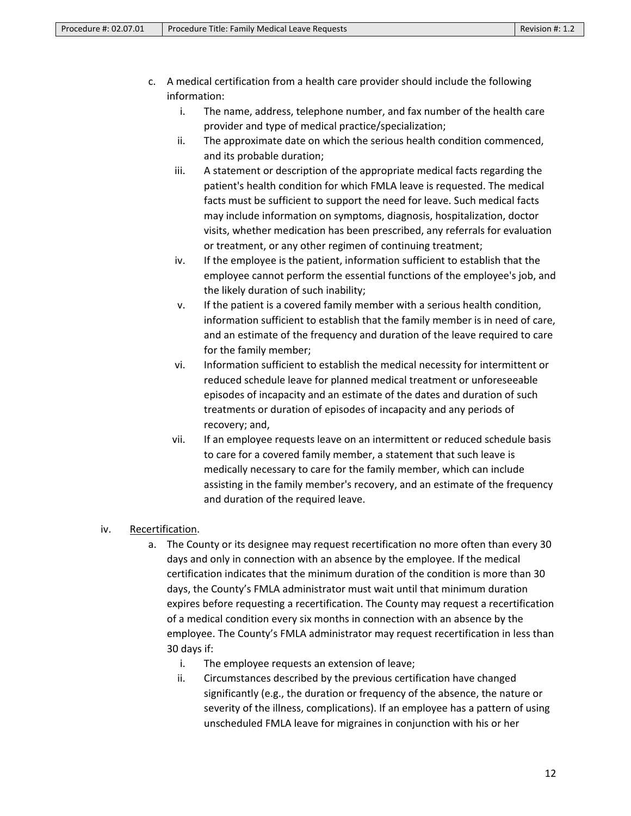- c. A medical certification from a health care provider should include the following information:
	- i. The name, address, telephone number, and fax number of the health care provider and type of medical practice/specialization;
	- ii. The approximate date on which the serious health condition commenced, and its probable duration;
	- iii. A statement or description of the appropriate medical facts regarding the patient's health condition for which FMLA leave is requested. The medical facts must be sufficient to support the need for leave. Such medical facts may include information on symptoms, diagnosis, hospitalization, doctor visits, whether medication has been prescribed, any referrals for evaluation or treatment, or any other regimen of continuing treatment;
	- iv. If the employee is the patient, information sufficient to establish that the employee cannot perform the essential functions of the employee's job, and the likely duration of such inability;
	- v. If the patient is a covered family member with a serious health condition, information sufficient to establish that the family member is in need of care, and an estimate of the frequency and duration of the leave required to care for the family member;
	- vi. Information sufficient to establish the medical necessity for intermittent or reduced schedule leave for planned medical treatment or unforeseeable episodes of incapacity and an estimate of the dates and duration of such treatments or duration of episodes of incapacity and any periods of recovery; and,
	- vii. If an employee requests leave on an intermittent or reduced schedule basis to care for a covered family member, a statement that such leave is medically necessary to care for the family member, which can include assisting in the family member's recovery, and an estimate of the frequency and duration of the required leave.

# iv. Recertification.

- a. The County or its designee may request recertification no more often than every 30 days and only in connection with an absence by the employee. If the medical certification indicates that the minimum duration of the condition is more than 30 days, the County's FMLA administrator must wait until that minimum duration expires before requesting a recertification. The County may request a recertification of a medical condition every six months in connection with an absence by the employee. The County's FMLA administrator may request recertification in less than 30 days if:
	- i. The employee requests an extension of leave;
	- ii. Circumstances described by the previous certification have changed significantly (e.g., the duration or frequency of the absence, the nature or severity of the illness, complications). If an employee has a pattern of using unscheduled FMLA leave for migraines in conjunction with his or her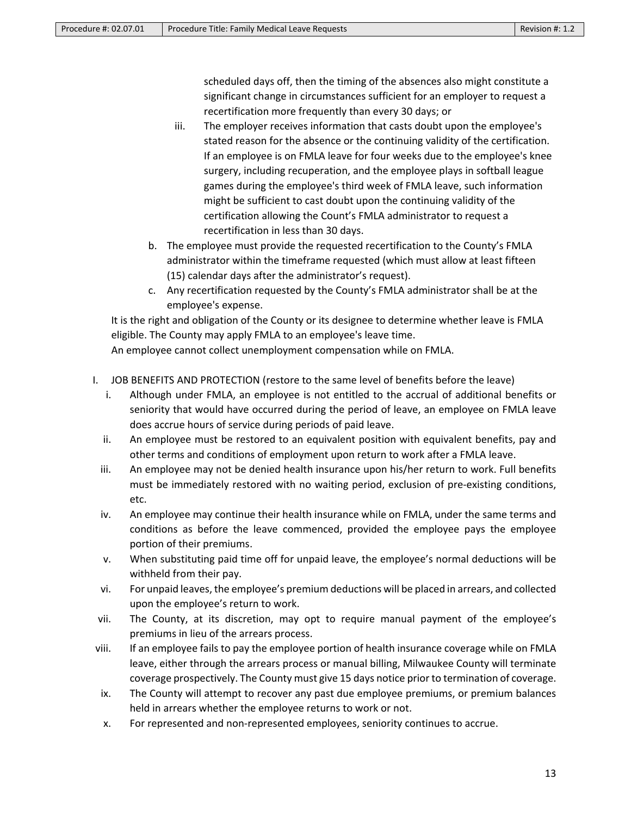scheduled days off, then the timing of the absences also might constitute a significant change in circumstances sufficient for an employer to request a recertification more frequently than every 30 days; or

- iii. The employer receives information that casts doubt upon the employee's stated reason for the absence or the continuing validity of the certification. If an employee is on FMLA leave for four weeks due to the employee's knee surgery, including recuperation, and the employee plays in softball league games during the employee's third week of FMLA leave, such information might be sufficient to cast doubt upon the continuing validity of the certification allowing the Count's FMLA administrator to request a recertification in less than 30 days.
- b. The employee must provide the requested recertification to the County's FMLA administrator within the timeframe requested (which must allow at least fifteen (15) calendar days after the administrator's request).
- c. Any recertification requested by the County's FMLA administrator shall be at the employee's expense.

It is the right and obligation of the County or its designee to determine whether leave is FMLA eligible. The County may apply FMLA to an employee's leave time.

An employee cannot collect unemployment compensation while on FMLA.

- I. JOB BENEFITS AND PROTECTION (restore to the same level of benefits before the leave)
	- i. Although under FMLA, an employee is not entitled to the accrual of additional benefits or seniority that would have occurred during the period of leave, an employee on FMLA leave does accrue hours of service during periods of paid leave.
	- ii. An employee must be restored to an equivalent position with equivalent benefits, pay and other terms and conditions of employment upon return to work after a FMLA leave.
	- iii. An employee may not be denied health insurance upon his/her return to work. Full benefits must be immediately restored with no waiting period, exclusion of pre-existing conditions, etc.
	- iv. An employee may continue their health insurance while on FMLA, under the same terms and conditions as before the leave commenced, provided the employee pays the employee portion of their premiums.
	- v. When substituting paid time off for unpaid leave, the employee's normal deductions will be withheld from their pay.
	- vi. For unpaid leaves, the employee's premium deductions will be placed in arrears, and collected upon the employee's return to work.
- vii. The County, at its discretion, may opt to require manual payment of the employee's premiums in lieu of the arrears process.
- viii. If an employee fails to pay the employee portion of health insurance coverage while on FMLA leave, either through the arrears process or manual billing, Milwaukee County will terminate coverage prospectively. The County must give 15 days notice prior to termination of coverage.
- ix. The County will attempt to recover any past due employee premiums, or premium balances held in arrears whether the employee returns to work or not.
- x. For represented and non-represented employees, seniority continues to accrue.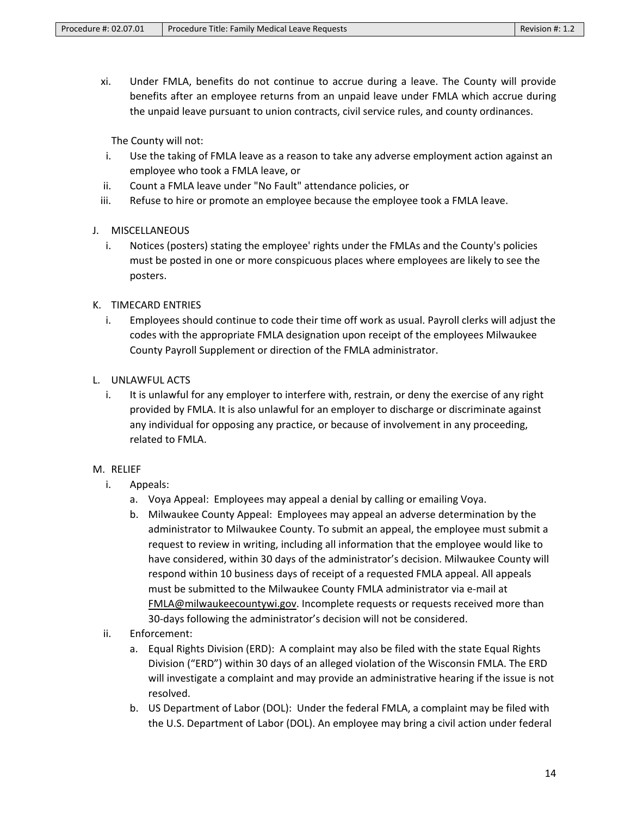xi. Under FMLA, benefits do not continue to accrue during a leave. The County will provide benefits after an employee returns from an unpaid leave under FMLA which accrue during the unpaid leave pursuant to union contracts, civil service rules, and county ordinances.

The County will not:

- i. Use the taking of FMLA leave as a reason to take any adverse employment action against an employee who took a FMLA leave, or
- ii. Count a FMLA leave under "No Fault" attendance policies, or
- iii. Refuse to hire or promote an employee because the employee took a FMLA leave.
- J. MISCELLANEOUS
	- i. Notices (posters) stating the employee' rights under the FMLAs and the County's policies must be posted in one or more conspicuous places where employees are likely to see the posters.
- K. TIMECARD ENTRIES
	- i. Employees should continue to code their time off work as usual. Payroll clerks will adjust the codes with the appropriate FMLA designation upon receipt of the employees Milwaukee County Payroll Supplement or direction of the FMLA administrator.
- L. UNLAWFUL ACTS
	- i. It is unlawful for any employer to interfere with, restrain, or deny the exercise of any right provided by FMLA. It is also unlawful for an employer to discharge or discriminate against any individual for opposing any practice, or because of involvement in any proceeding, related to FMLA.
- M. RELIEF
	- i. Appeals:
		- a. Voya Appeal: Employees may appeal a denial by calling or emailing Voya.
		- b. Milwaukee County Appeal: Employees may appeal an adverse determination by the administrator to Milwaukee County. To submit an appeal, the employee must submit a request to review in writing, including all information that the employee would like to have considered, within 30 days of the administrator's decision. Milwaukee County will respond within 10 business days of receipt of a requested FMLA appeal. All appeals must be submitted to the Milwaukee County FMLA administrator via e-mail at FMLA@milwaukeecountywi.gov. Incomplete requests or requests received more than 30-days following the administrator's decision will not be considered.
	- ii. Enforcement:
		- a. Equal Rights Division (ERD): A complaint may also be filed with the state Equal Rights Division ("ERD") within 30 days of an alleged violation of the Wisconsin FMLA. The ERD will investigate a complaint and may provide an administrative hearing if the issue is not resolved.
		- b. US Department of Labor (DOL): Under the federal FMLA, a complaint may be filed with the U.S. Department of Labor (DOL). An employee may bring a civil action under federal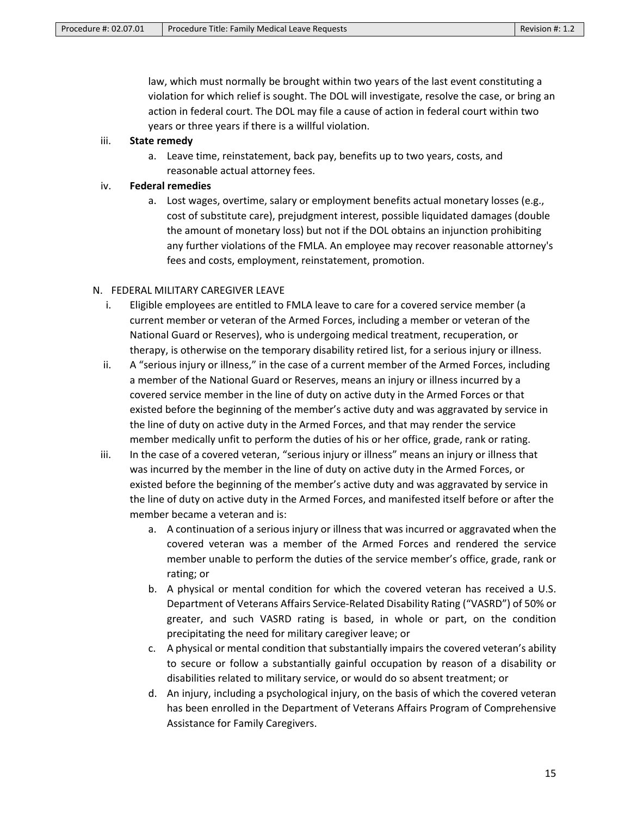law, which must normally be brought within two years of the last event constituting a violation for which relief is sought. The DOL will investigate, resolve the case, or bring an action in federal court. The DOL may file a cause of action in federal court within two years or three years if there is a willful violation.

## iii. **State remedy**

a. Leave time, reinstatement, back pay, benefits up to two years, costs, and reasonable actual attorney fees.

# iv. **Federal remedies**

a. Lost wages, overtime, salary or employment benefits actual monetary losses (e.g., cost of substitute care), prejudgment interest, possible liquidated damages (double the amount of monetary loss) but not if the DOL obtains an injunction prohibiting any further violations of the FMLA. An employee may recover reasonable attorney's fees and costs, employment, reinstatement, promotion.

# N. FEDERAL MILITARY CAREGIVER LEAVE

- i. Eligible employees are entitled to FMLA leave to care for a covered service member (a current member or veteran of the Armed Forces, including a member or veteran of the National Guard or Reserves), who is undergoing medical treatment, recuperation, or therapy, is otherwise on the temporary disability retired list, for a serious injury or illness.
- ii. A "serious injury or illness," in the case of a current member of the Armed Forces, including a member of the National Guard or Reserves, means an injury or illness incurred by a covered service member in the line of duty on active duty in the Armed Forces or that existed before the beginning of the member's active duty and was aggravated by service in the line of duty on active duty in the Armed Forces, and that may render the service member medically unfit to perform the duties of his or her office, grade, rank or rating.
- iii. In the case of a covered veteran, "serious injury or illness" means an injury or illness that was incurred by the member in the line of duty on active duty in the Armed Forces, or existed before the beginning of the member's active duty and was aggravated by service in the line of duty on active duty in the Armed Forces, and manifested itself before or after the member became a veteran and is:
	- a. A continuation of a serious injury or illness that was incurred or aggravated when the covered veteran was a member of the Armed Forces and rendered the service member unable to perform the duties of the service member's office, grade, rank or rating; or
	- b. A physical or mental condition for which the covered veteran has received a U.S. Department of Veterans Affairs Service-Related Disability Rating ("VASRD") of 50% or greater, and such VASRD rating is based, in whole or part, on the condition precipitating the need for military caregiver leave; or
	- c. A physical or mental condition that substantially impairs the covered veteran's ability to secure or follow a substantially gainful occupation by reason of a disability or disabilities related to military service, or would do so absent treatment; or
	- d. An injury, including a psychological injury, on the basis of which the covered veteran has been enrolled in the Department of Veterans Affairs Program of Comprehensive Assistance for Family Caregivers.